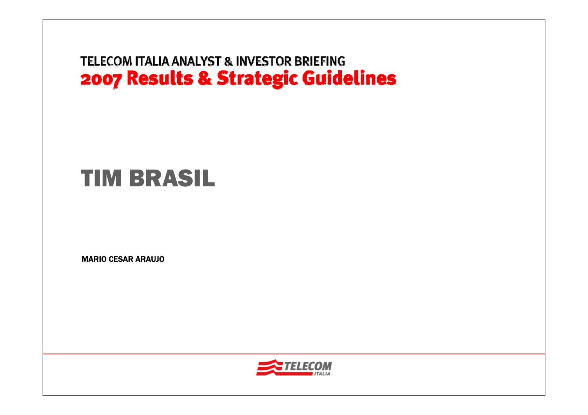# TIM BRASIL

MARIO CESAR ARAUJO

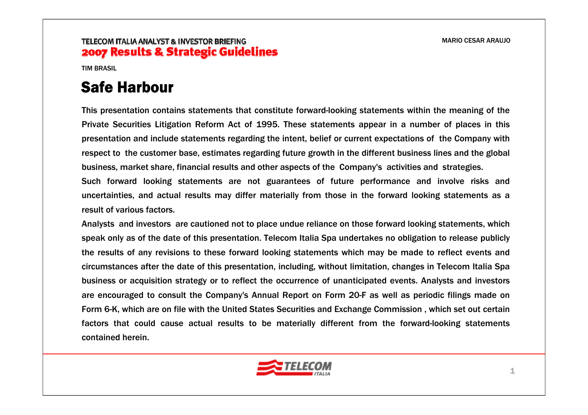TIM BRASIL

## Safe Harbour

This presentation contains statements that constitute forward-looking statements within the meaning of the Private Securities Litigation Reform Act of 1995. These statements appear in a number of places in this presentation and include statements regarding the intent, belief or current expectations of the Company with respect to the customer base, estimates regarding future growth in the different business lines and the global business, market share, financial results and other aspects of the Company's activities and strategies.

Such forward looking statements are not guarantees of future performance and involve risks and uncertainties, and actual results may differ materially from those in the forward looking statements as a result of various factors.

Analysts and investors are cautioned not to place undue reliance on those forward looking statements, which speak only as of the date of this presentation. Telecom Italia Spa undertakes no obligation to release publicly the results of any revisions to these forward looking statements which may be made to reflect events and circumstances after the date of this presentation, including, without limitation, changes in Telecom Italia Spa business or acquisition strategy or to reflect the occurrence of unanticipated events. Analysts and investors are encouraged to consult the Company's Annual Report on Form 20-F as well as periodic filings made on Form 6-K, which are on file with the United States Securities and Exchange Commission , which set out certain factors that could cause actual results to be materially different from the forward-looking statements contained herein.

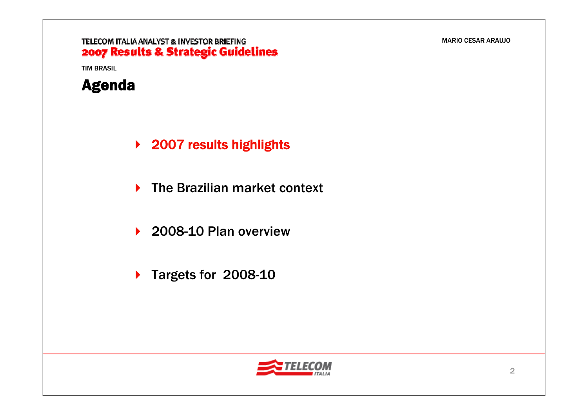TELECOM ITALIA ANALYST & INVESTOR BRIEFING 2007 Results & Strategic Guidelines



- **▶ 2007 results highlights**
- **▶ The Brazilian market context**
- ▶ 2008-10 Plan overview
- ▶ Targets for 2008-10

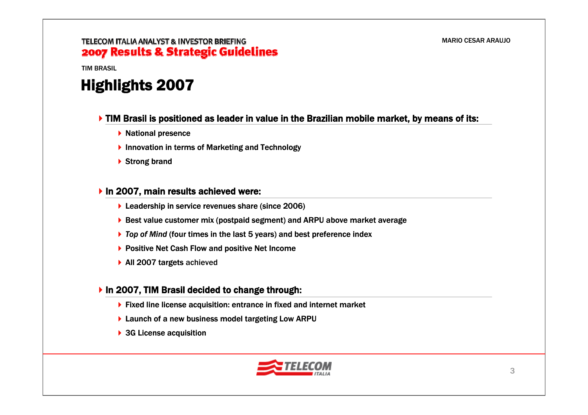TIM BRASIL

## Highlights 2007

#### **TIM Brasil is positioned as leader in value in the Brazilian mobile market, by means of its:**

- $\blacktriangleright$  National presence
- ▶ Innovation in terms of Marketing and Technology
- ▶ Strong brand

#### ▶ In 2007, main results achieved were:

- ▶ Leadership in service revenues share (since 2006)
- ▶ Best value customer mix (postpaid segment) and ARPU above market average
- *Top of Mind* (four times in the last 5 years) and best preference index
- ▶ Positive Net Cash Flow and positive Net Income
- ▶ All 2007 targets achieved

### In 2007, TIM Brasil decided to change through:

- ▶ Fixed line license acquisition: entrance in fixed and internet market
- ▶ Launch of a new business model targeting Low ARPU
- ▶ 3G License acquisition

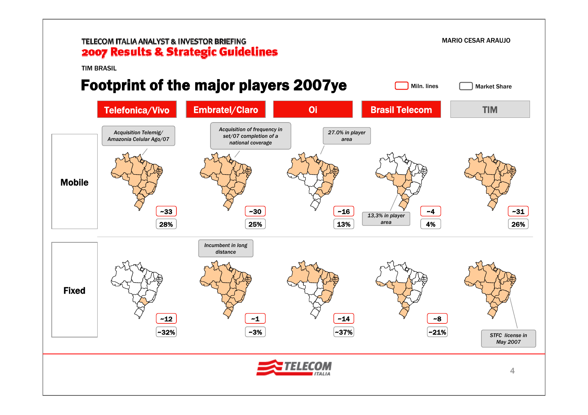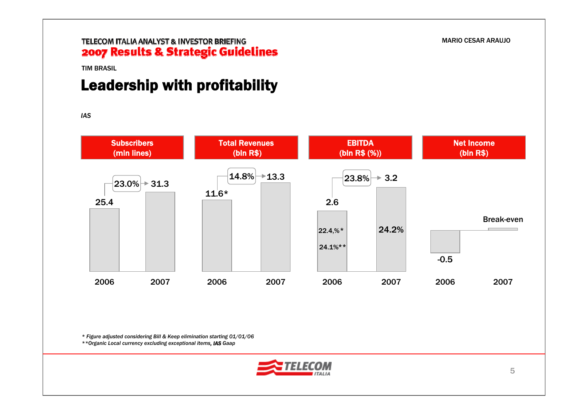#### TIM BRASIL

## Leadership with profitability

*IAS*



*\* Figure adjusted considering Bill & Keep elimination starting 01/01/06*

*\*\*Organic Local currency excluding exceptional items, IAS Gaap*

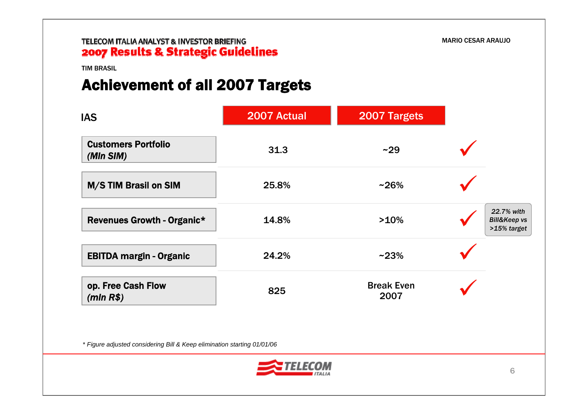TIM BRASIL

## Achievement of all 2007 Targets

| <b>IAS</b>                              | 2007 Actual | 2007 Targets              |                                                      |
|-----------------------------------------|-------------|---------------------------|------------------------------------------------------|
| <b>Customers Portfolio</b><br>(MIn SIM) | 31.3        | ~29                       |                                                      |
| M/S TIM Brasil on SIM                   | 25.8%       | $~26\%$                   |                                                      |
| <b>Revenues Growth - Organic*</b>       | 14.8%       | >10%                      | 22.7% with<br><b>Bill&amp;Keep vs</b><br>>15% target |
| <b>EBITDA margin - Organic</b>          | 24.2%       | $~23\%$                   |                                                      |
| op. Free Cash Flow<br>$(mln R$ \$)      | 825         | <b>Break Even</b><br>2007 |                                                      |

\* *Figure adjusted considering Bill & Keep elimination starting 01/01/06*

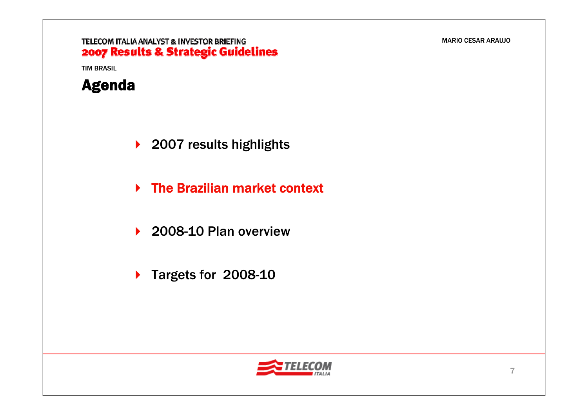### TELECOM ITALIA ANALYST & INVESTOR BRIEFING 2007 Results & Strategic Guidelines



- ▶ 2007 results highlights
- **▶ The Brazilian market context**
- ▶ 2008-10 Plan overview
- ▶ Targets for 2008-10

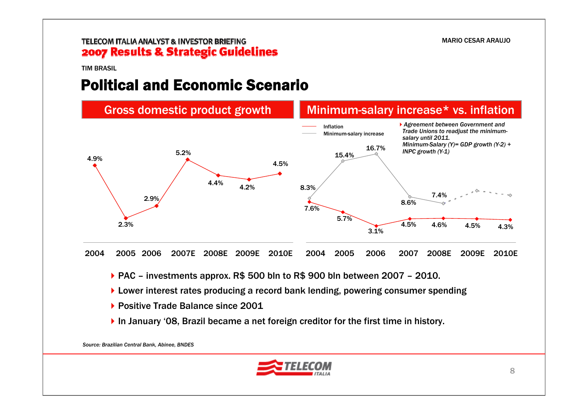TIM BRASIL

### Political and Economic Scenario



▶ PAC – investments approx. R\$ 500 bln to R\$ 900 bln between 2007 – 2010.

- ▶ Lower interest rates producing a record bank lending, powering consumer spending
- ▶ Positive Trade Balance since 2001
- ▶ In January '08, Brazil became a net foreign creditor for the first time in history.

*Source: Brazilian Central Bank, Abinee, BNDES*

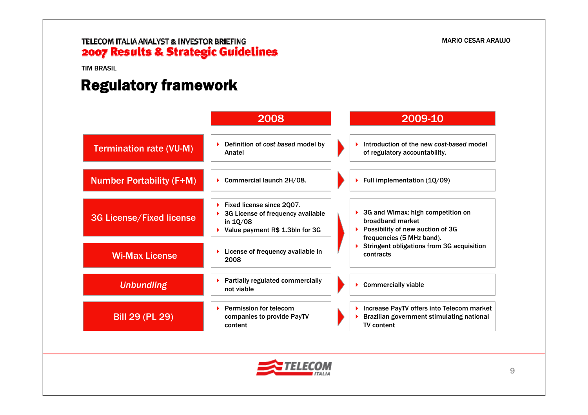TIM BRASIL

## Regulatory framework

|                                 | 2008                                                                                                          | 2009-10                                                                                                                      |
|---------------------------------|---------------------------------------------------------------------------------------------------------------|------------------------------------------------------------------------------------------------------------------------------|
| <b>Termination rate (VU-M)</b>  | Definition of cost based model by<br>Anatel                                                                   | Introduction of the new cost-based model<br>of regulatory accountability.                                                    |
| <b>Number Portability (F+M)</b> | Commercial launch 2H/08.                                                                                      | Full implementation (1Q/09)                                                                                                  |
| <b>3G License/Fixed license</b> | Fixed license since 2Q07.<br>3G License of frequency available<br>in 1Q/08<br>Value payment R\$ 1.3bln for 3G | 3G and Wimax: high competition on<br>broadband market<br>Possibility of new auction of 3G<br>ь.<br>frequencies (5 MHz band). |
| <b>Wi-Max License</b>           | License of frequency available in<br>2008                                                                     | Stringent obligations from 3G acquisition<br>contracts                                                                       |
| <b>Unbundling</b>               | Partially regulated commercially<br>not viable                                                                | <b>Commercially viable</b>                                                                                                   |
| <b>Bill 29 (PL 29)</b>          | <b>Permission for telecom</b><br>ы<br>companies to provide PayTV<br>content                                   | Increase PayTV offers into Telecom market<br>Brazilian government stimulating national<br><b>TV</b> content                  |

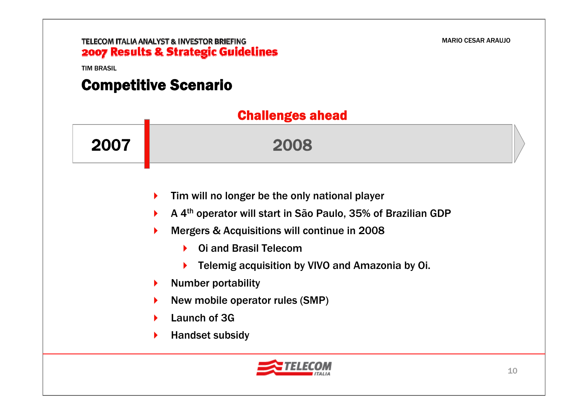TIM BRASIL

## Competitive Scenario

|      | <b>Challenges ahead</b>                                                                                                                                                                                                                                                                                                                                                      |  |
|------|------------------------------------------------------------------------------------------------------------------------------------------------------------------------------------------------------------------------------------------------------------------------------------------------------------------------------------------------------------------------------|--|
| 2007 | 2008                                                                                                                                                                                                                                                                                                                                                                         |  |
|      | Tim will no longer be the only national player<br>▶<br>A 4 <sup>th</sup> operator will start in São Paulo, 35% of Brazilian GDP<br>Þ.<br>Mergers & Acquisitions will continue in 2008<br>▶<br><b>Oi and Brasil Telecom</b><br>Telemig acquisition by VIVO and Amazonia by Oi.<br><b>Number portability</b><br>▶<br>New mobile operator rules (SMP)<br>▶<br>Launch of 3G<br>▶ |  |
|      | <b>Handset subsidy</b><br>Þ.<br>ELECOM                                                                                                                                                                                                                                                                                                                                       |  |

**ITALIA**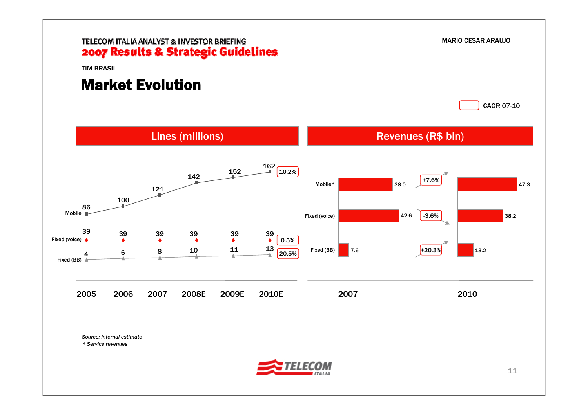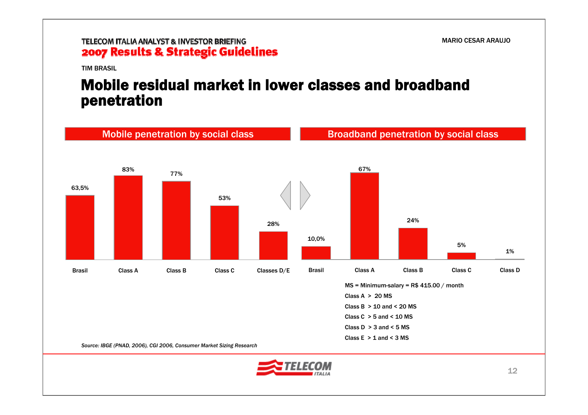TIM BRASIL

### Mobile residual market in lower classes and broadband penetration



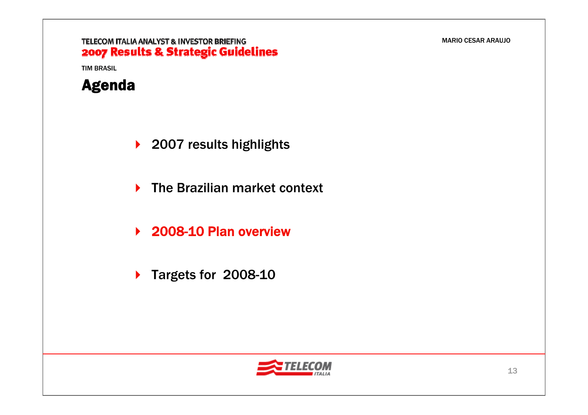### TELECOM ITALIA ANALYST & INVESTOR BRIEFING 2007 Results & Strategic Guidelines



- ▶ 2007 results highlights
- **▶ The Brazilian market context**
- ▶ 2008-10 Plan overview
- ▶ Targets for 2008-10

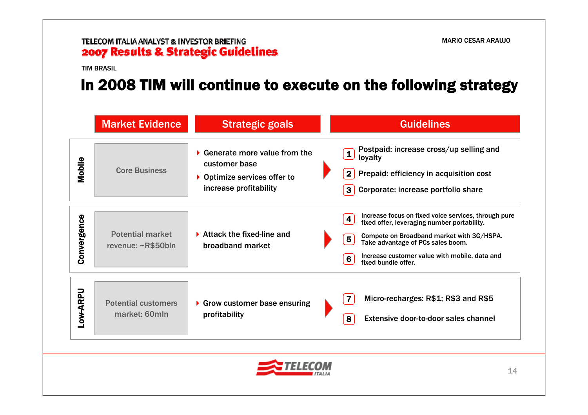TIM BRASIL

## In 2008 TIM will continue to execute on the following strategy

|             | <b>Market Evidence</b>                        | <b>Strategic goals</b>                                                                                                        | <b>Guidelines</b>                                                                                                                                                                                                                                                                                                                     |  |
|-------------|-----------------------------------------------|-------------------------------------------------------------------------------------------------------------------------------|---------------------------------------------------------------------------------------------------------------------------------------------------------------------------------------------------------------------------------------------------------------------------------------------------------------------------------------|--|
| Mobile      | <b>Core Business</b>                          | $\blacktriangleright$ Generate more value from the<br>customer base<br>▶ Optimize services offer to<br>increase profitability | Postpaid: increase cross/up selling and<br>$\overline{\mathbf{1}}$<br>loyalty<br>Prepaid: efficiency in acquisition cost<br>3 <sup>1</sup><br>Corporate: increase portfolio share                                                                                                                                                     |  |
| Convergence | <b>Potential market</b><br>revenue: ~R\$50bln | $\blacktriangleright$ Attack the fixed-line and<br>broadband market                                                           | Increase focus on fixed voice services, through pure<br>$\overline{\mathbf{4}}$<br>fixed offer, leveraging number portability.<br>Compete on Broadband market with 3G/HSPA.<br>$\overline{\mathbf{5}}$<br>Take advantage of PCs sales boom.<br>Increase customer value with mobile, data and<br>$6\phantom{1}$<br>fixed bundle offer. |  |
| Low-ARPU    | <b>Potential customers</b><br>market: 60mln   | Grow customer base ensuring<br>profitability                                                                                  | $\overline{\mathbf{7}}$<br>Micro-recharges: R\$1; R\$3 and R\$5<br>8<br>Extensive door-to-door sales channel                                                                                                                                                                                                                          |  |
|             |                                               |                                                                                                                               | 14                                                                                                                                                                                                                                                                                                                                    |  |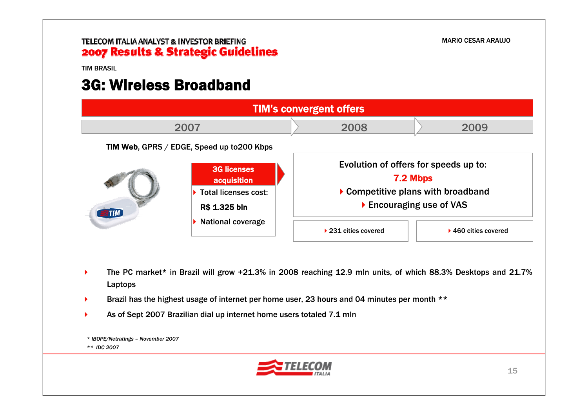TIM BRASIL

### 3G: Wireless Broadband



- ▶ The PC market\* in Brazil will grow +21.3% in 2008 reaching 12.9 mln units, of which 88.3% Desktops and 21.7% Laptops
- ▶ Brazil has the highest usage of internet per home user, 23 hours and 04 minutes per month \*\*
- ▶ As of Sept 2007 Brazilian dial up internet home users totaled 7.1 mln

*\* IBOPE/Netratings – November 2007 \*\* IDC 2007*

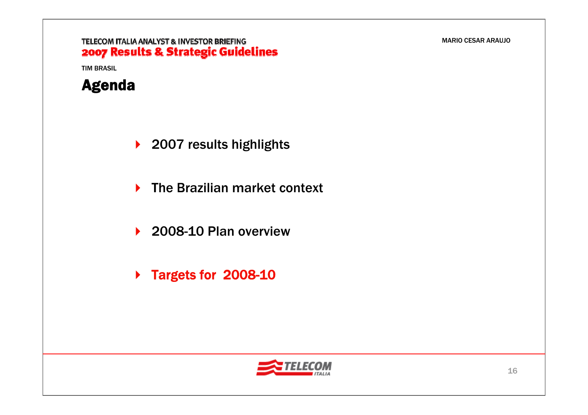### TELECOM ITALIA ANALYST & INVESTOR BRIEFING 2007 Results & Strategic Guidelines



- ▶ 2007 results highlights
- **▶ The Brazilian market context**
- ▶ 2008-10 Plan overview
- ▶ Targets for 2008-10

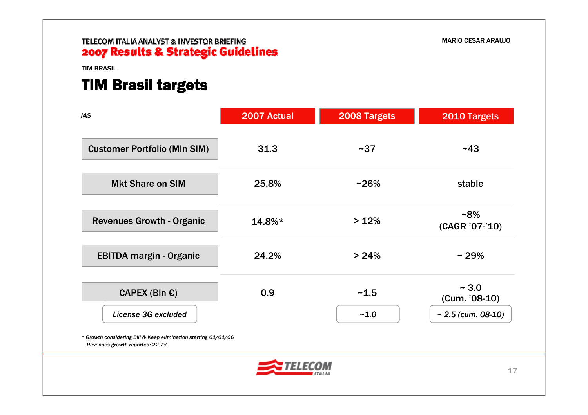#### TIM BRASIL

### TIM Brasil targets

| <b>IAS</b>                                                                                        | 2007 Actual | 2008 Targets | 2010 Targets            |  |
|---------------------------------------------------------------------------------------------------|-------------|--------------|-------------------------|--|
| <b>Customer Portfolio (MIn SIM)</b>                                                               | 31.3        | ~1.37        | ~143                    |  |
| <b>Mkt Share on SIM</b>                                                                           | 25.8%       | $~26\%$      | stable                  |  |
| <b>Revenues Growth - Organic</b>                                                                  | 14.8%*      | >12%         | $-8%$<br>(CAGR '07-'10) |  |
| <b>EBITDA margin - Organic</b>                                                                    | 24.2%       | > 24%        | $~29\%$                 |  |
| CAPEX (Bln $\epsilon$ )                                                                           | 0.9         | ~1.5         | ~1.0<br>(Cum. '08-10)   |  |
| License 3G excluded                                                                               |             | $-1.0$       | ~ $2.5$ (cum. 08-10)    |  |
| * Growth considering Bill & Keep elimination starting 01/01/06<br>Revenues growth reported: 22.7% |             |              |                         |  |
|                                                                                                   |             |              | 17                      |  |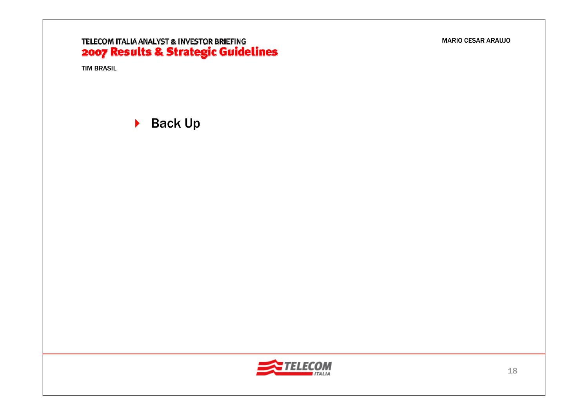# **TELECOM ITALIA ANALYST & INVESTOR BRIEFING<br>2007 Results & Strategic Guidelines**

TIM BRASIL

▶ Back Up

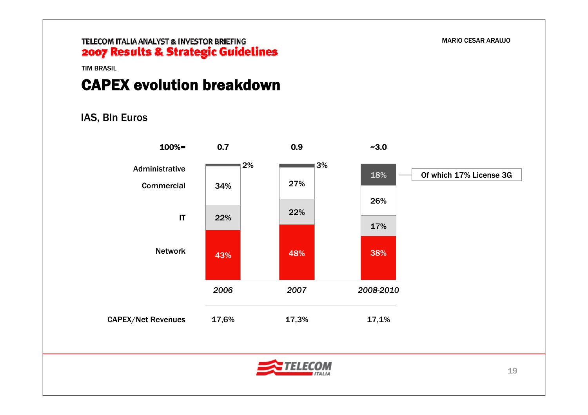MARIO CESAR ARAUJO

TIM BRASIL

### CAPEX evolution breakdown

### IAS, Bln Euros